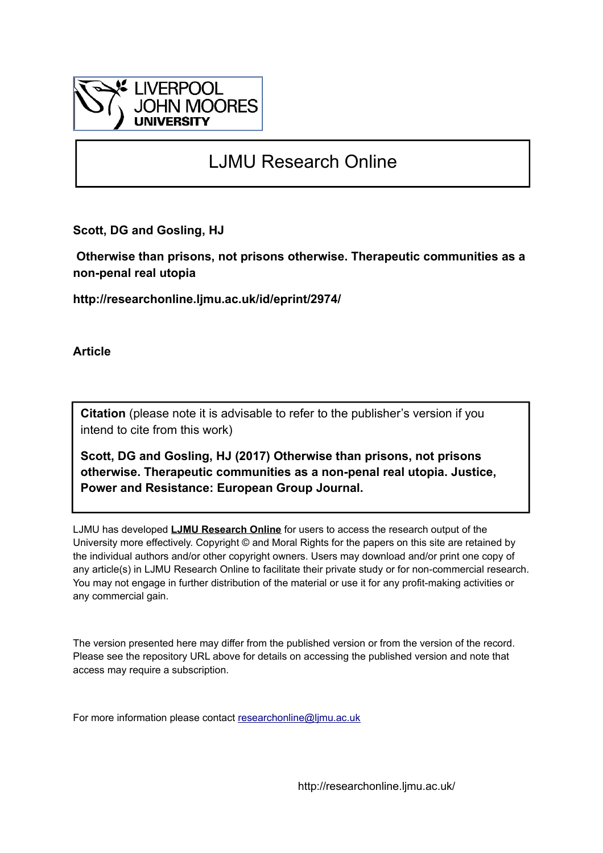

# LJMU Research Online

**Scott, DG and Gosling, HJ**

 **Otherwise than prisons, not prisons otherwise. Therapeutic communities as a non-penal real utopia**

**http://researchonline.ljmu.ac.uk/id/eprint/2974/**

**Article**

**Citation** (please note it is advisable to refer to the publisher's version if you intend to cite from this work)

**Scott, DG and Gosling, HJ (2017) Otherwise than prisons, not prisons otherwise. Therapeutic communities as a non-penal real utopia. Justice, Power and Resistance: European Group Journal.** 

LJMU has developed **[LJMU Research Online](http://researchonline.ljmu.ac.uk/)** for users to access the research output of the University more effectively. Copyright © and Moral Rights for the papers on this site are retained by the individual authors and/or other copyright owners. Users may download and/or print one copy of any article(s) in LJMU Research Online to facilitate their private study or for non-commercial research. You may not engage in further distribution of the material or use it for any profit-making activities or any commercial gain.

The version presented here may differ from the published version or from the version of the record. Please see the repository URL above for details on accessing the published version and note that access may require a subscription.

For more information please contact [researchonline@ljmu.ac.uk](mailto:researchonline@ljmu.ac.uk)

http://researchonline.ljmu.ac.uk/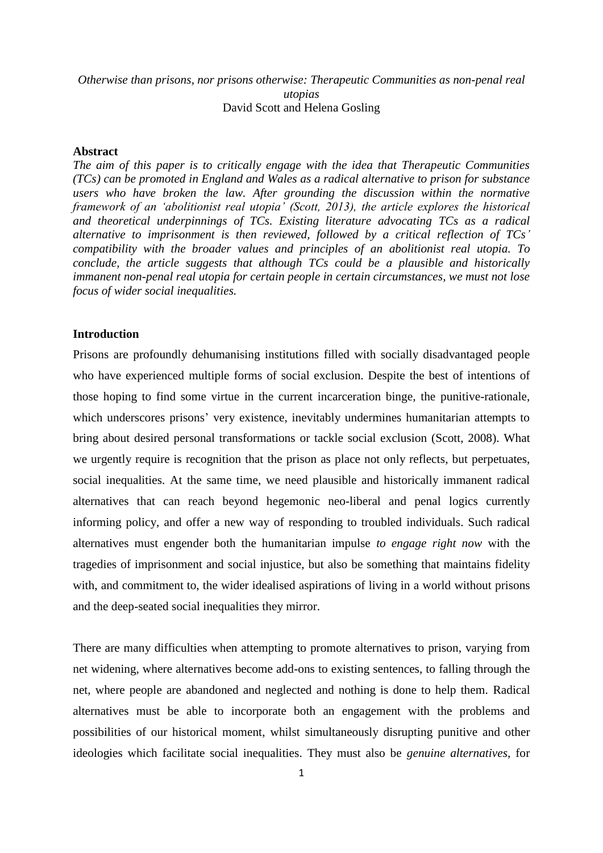## *Otherwise than prisons, nor prisons otherwise: Therapeutic Communities as non-penal real utopias* David Scott and Helena Gosling

### **Abstract**

*The aim of this paper is to critically engage with the idea that Therapeutic Communities (TCs) can be promoted in England and Wales as a radical alternative to prison for substance*  users who have broken the law. After grounding the discussion within the normative *framework of an 'abolitionist real utopia' (Scott, 2013), the article explores the historical and theoretical underpinnings of TCs. Existing literature advocating TCs as a radical alternative to imprisonment is then reviewed, followed by a critical reflection of TCs' compatibility with the broader values and principles of an abolitionist real utopia. To conclude, the article suggests that although TCs could be a plausible and historically immanent non-penal real utopia for certain people in certain circumstances, we must not lose focus of wider social inequalities.*

#### **Introduction**

Prisons are profoundly dehumanising institutions filled with socially disadvantaged people who have experienced multiple forms of social exclusion. Despite the best of intentions of those hoping to find some virtue in the current incarceration binge, the punitive-rationale, which underscores prisons' very existence, inevitably undermines humanitarian attempts to bring about desired personal transformations or tackle social exclusion (Scott, 2008). What we urgently require is recognition that the prison as place not only reflects, but perpetuates, social inequalities. At the same time, we need plausible and historically immanent radical alternatives that can reach beyond hegemonic neo-liberal and penal logics currently informing policy, and offer a new way of responding to troubled individuals. Such radical alternatives must engender both the humanitarian impulse *to engage right now* with the tragedies of imprisonment and social injustice, but also be something that maintains fidelity with, and commitment to, the wider idealised aspirations of living in a world without prisons and the deep-seated social inequalities they mirror.

There are many difficulties when attempting to promote alternatives to prison, varying from net widening, where alternatives become add-ons to existing sentences, to falling through the net, where people are abandoned and neglected and nothing is done to help them. Radical alternatives must be able to incorporate both an engagement with the problems and possibilities of our historical moment, whilst simultaneously disrupting punitive and other ideologies which facilitate social inequalities. They must also be *genuine alternatives*, for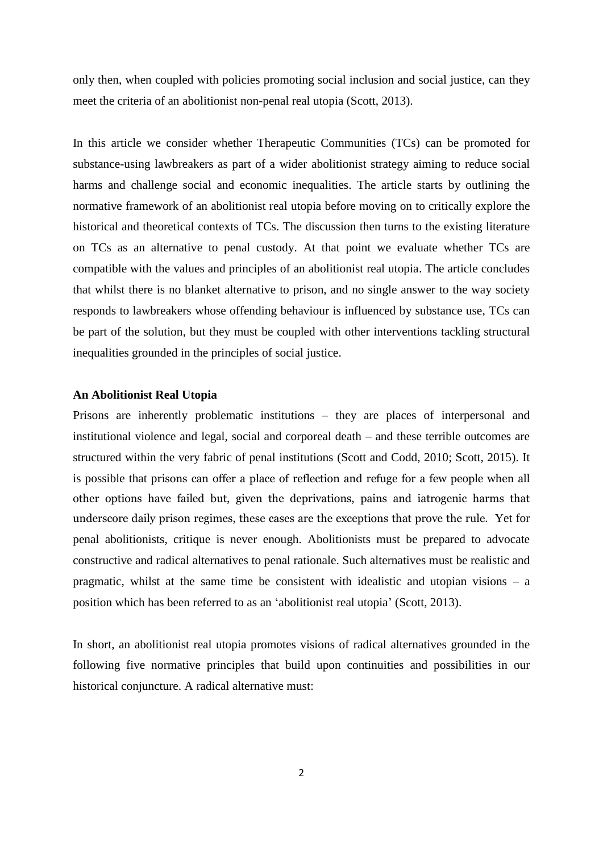only then, when coupled with policies promoting social inclusion and social justice, can they meet the criteria of an abolitionist non-penal real utopia (Scott, 2013).

In this article we consider whether Therapeutic Communities (TCs) can be promoted for substance-using lawbreakers as part of a wider abolitionist strategy aiming to reduce social harms and challenge social and economic inequalities. The article starts by outlining the normative framework of an abolitionist real utopia before moving on to critically explore the historical and theoretical contexts of TCs. The discussion then turns to the existing literature on TCs as an alternative to penal custody. At that point we evaluate whether TCs are compatible with the values and principles of an abolitionist real utopia. The article concludes that whilst there is no blanket alternative to prison, and no single answer to the way society responds to lawbreakers whose offending behaviour is influenced by substance use, TCs can be part of the solution, but they must be coupled with other interventions tackling structural inequalities grounded in the principles of social justice.

#### **An Abolitionist Real Utopia**

Prisons are inherently problematic institutions – they are places of interpersonal and institutional violence and legal, social and corporeal death – and these terrible outcomes are structured within the very fabric of penal institutions (Scott and Codd, 2010; Scott, 2015). It is possible that prisons can offer a place of reflection and refuge for a few people when all other options have failed but, given the deprivations, pains and iatrogenic harms that underscore daily prison regimes, these cases are the exceptions that prove the rule. Yet for penal abolitionists, critique is never enough. Abolitionists must be prepared to advocate constructive and radical alternatives to penal rationale. Such alternatives must be realistic and pragmatic, whilst at the same time be consistent with idealistic and utopian visions – a position which has been referred to as an 'abolitionist real utopia' (Scott, 2013).

In short, an abolitionist real utopia promotes visions of radical alternatives grounded in the following five normative principles that build upon continuities and possibilities in our historical conjuncture. A radical alternative must: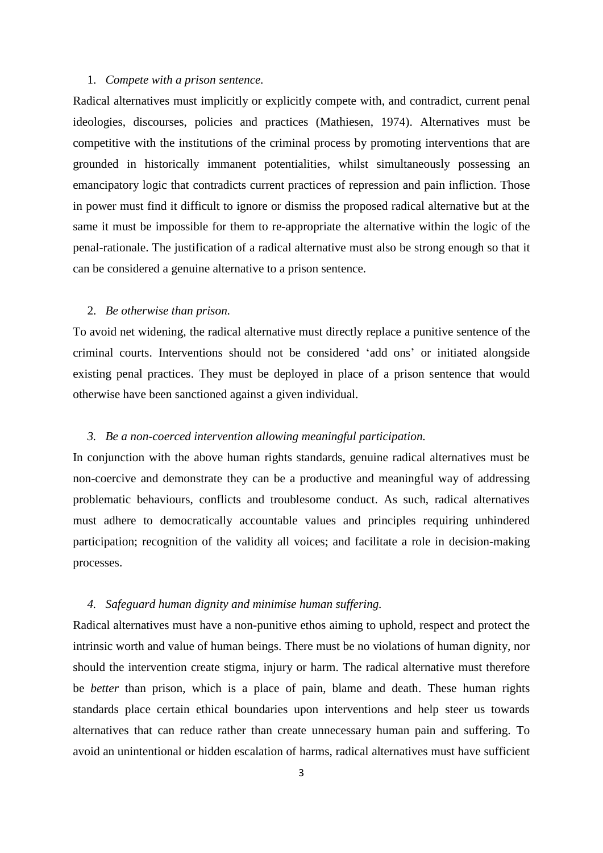### 1. *Compete with a prison sentence.*

Radical alternatives must implicitly or explicitly compete with, and contradict, current penal ideologies, discourses, policies and practices (Mathiesen, 1974). Alternatives must be competitive with the institutions of the criminal process by promoting interventions that are grounded in historically immanent potentialities, whilst simultaneously possessing an emancipatory logic that contradicts current practices of repression and pain infliction. Those in power must find it difficult to ignore or dismiss the proposed radical alternative but at the same it must be impossible for them to re-appropriate the alternative within the logic of the penal-rationale. The justification of a radical alternative must also be strong enough so that it can be considered a genuine alternative to a prison sentence.

#### 2. *Be otherwise than prison.*

To avoid net widening, the radical alternative must directly replace a punitive sentence of the criminal courts. Interventions should not be considered 'add ons' or initiated alongside existing penal practices. They must be deployed in place of a prison sentence that would otherwise have been sanctioned against a given individual.

## *3. Be a non-coerced intervention allowing meaningful participation.*

In conjunction with the above human rights standards, genuine radical alternatives must be non-coercive and demonstrate they can be a productive and meaningful way of addressing problematic behaviours, conflicts and troublesome conduct. As such, radical alternatives must adhere to democratically accountable values and principles requiring unhindered participation; recognition of the validity all voices; and facilitate a role in decision-making processes.

### *4. Safeguard human dignity and minimise human suffering.*

Radical alternatives must have a non-punitive ethos aiming to uphold, respect and protect the intrinsic worth and value of human beings. There must be no violations of human dignity, nor should the intervention create stigma, injury or harm. The radical alternative must therefore be *better* than prison, which is a place of pain, blame and death. These human rights standards place certain ethical boundaries upon interventions and help steer us towards alternatives that can reduce rather than create unnecessary human pain and suffering. To avoid an unintentional or hidden escalation of harms, radical alternatives must have sufficient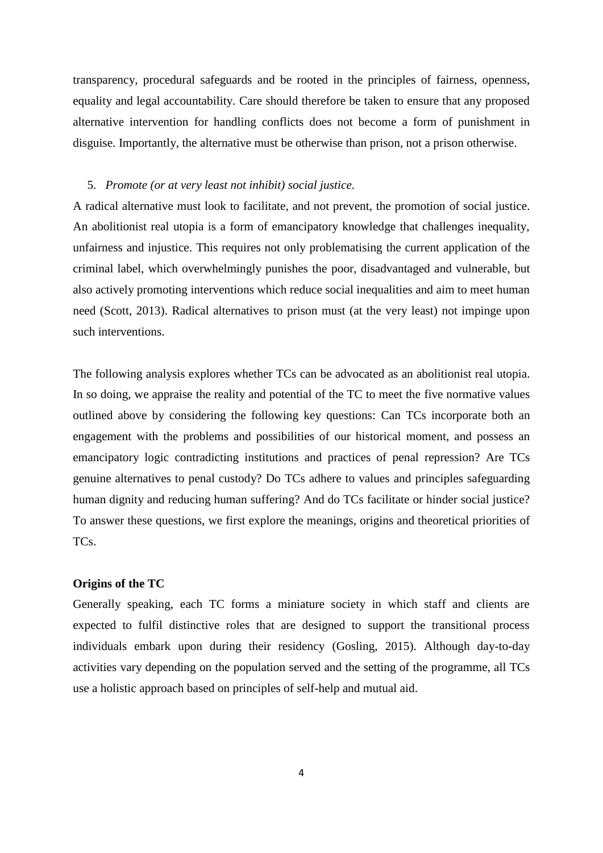transparency, procedural safeguards and be rooted in the principles of fairness, openness, equality and legal accountability. Care should therefore be taken to ensure that any proposed alternative intervention for handling conflicts does not become a form of punishment in disguise. Importantly, the alternative must be otherwise than prison, not a prison otherwise.

### 5. *Promote (or at very least not inhibit) social justice.*

A radical alternative must look to facilitate, and not prevent, the promotion of social justice. An abolitionist real utopia is a form of emancipatory knowledge that challenges inequality, unfairness and injustice. This requires not only problematising the current application of the criminal label, which overwhelmingly punishes the poor, disadvantaged and vulnerable, but also actively promoting interventions which reduce social inequalities and aim to meet human need (Scott, 2013). Radical alternatives to prison must (at the very least) not impinge upon such interventions.

The following analysis explores whether TCs can be advocated as an abolitionist real utopia. In so doing, we appraise the reality and potential of the TC to meet the five normative values outlined above by considering the following key questions: Can TCs incorporate both an engagement with the problems and possibilities of our historical moment, and possess an emancipatory logic contradicting institutions and practices of penal repression? Are TCs genuine alternatives to penal custody? Do TCs adhere to values and principles safeguarding human dignity and reducing human suffering? And do TCs facilitate or hinder social justice? To answer these questions, we first explore the meanings, origins and theoretical priorities of TCs.

## **Origins of the TC**

Generally speaking, each TC forms a miniature society in which staff and clients are expected to fulfil distinctive roles that are designed to support the transitional process individuals embark upon during their residency (Gosling, 2015). Although day-to-day activities vary depending on the population served and the setting of the programme, all TCs use a holistic approach based on principles of self-help and mutual aid.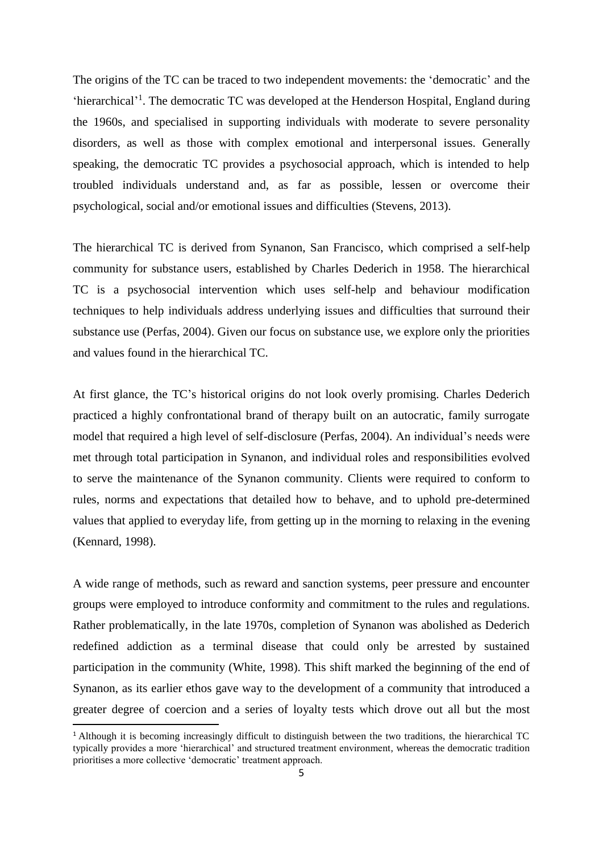The origins of the TC can be traced to two independent movements: the 'democratic' and the 'hierarchical'<sup>1</sup>. The democratic TC was developed at the Henderson Hospital, England during the 1960s, and specialised in supporting individuals with moderate to severe personality disorders, as well as those with complex emotional and interpersonal issues. Generally speaking, the democratic TC provides a psychosocial approach, which is intended to help troubled individuals understand and, as far as possible, lessen or overcome their psychological, social and/or emotional issues and difficulties (Stevens, 2013).

The hierarchical TC is derived from Synanon, San Francisco, which comprised a self-help community for substance users, established by Charles Dederich in 1958. The hierarchical TC is a psychosocial intervention which uses self-help and behaviour modification techniques to help individuals address underlying issues and difficulties that surround their substance use (Perfas, 2004). Given our focus on substance use, we explore only the priorities and values found in the hierarchical TC.

At first glance, the TC's historical origins do not look overly promising. Charles Dederich practiced a highly confrontational brand of therapy built on an autocratic, family surrogate model that required a high level of self-disclosure (Perfas, 2004). An individual's needs were met through total participation in Synanon, and individual roles and responsibilities evolved to serve the maintenance of the Synanon community. Clients were required to conform to rules, norms and expectations that detailed how to behave, and to uphold pre-determined values that applied to everyday life, from getting up in the morning to relaxing in the evening (Kennard, 1998).

A wide range of methods, such as reward and sanction systems, peer pressure and encounter groups were employed to introduce conformity and commitment to the rules and regulations. Rather problematically, in the late 1970s, completion of Synanon was abolished as Dederich redefined addiction as a terminal disease that could only be arrested by sustained participation in the community (White, 1998). This shift marked the beginning of the end of Synanon, as its earlier ethos gave way to the development of a community that introduced a greater degree of coercion and a series of loyalty tests which drove out all but the most

 $\overline{a}$ 

<sup>1</sup> Although it is becoming increasingly difficult to distinguish between the two traditions, the hierarchical TC typically provides a more 'hierarchical' and structured treatment environment, whereas the democratic tradition prioritises a more collective 'democratic' treatment approach.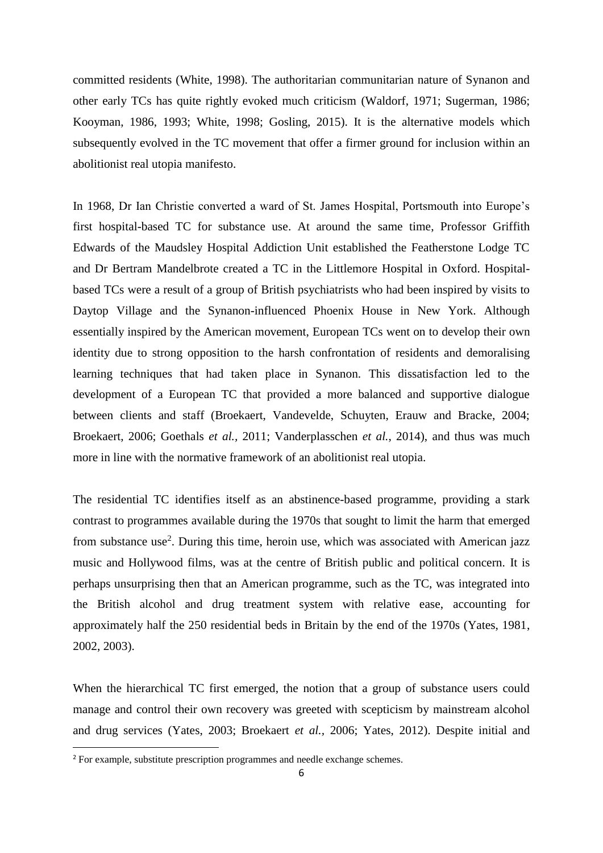committed residents (White, 1998). The authoritarian communitarian nature of Synanon and other early TCs has quite rightly evoked much criticism (Waldorf, 1971; Sugerman, 1986; Kooyman, 1986, 1993; White, 1998; Gosling, 2015). It is the alternative models which subsequently evolved in the TC movement that offer a firmer ground for inclusion within an abolitionist real utopia manifesto.

In 1968, Dr Ian Christie converted a ward of St. James Hospital, Portsmouth into Europe's first hospital-based TC for substance use. At around the same time, Professor Griffith Edwards of the Maudsley Hospital Addiction Unit established the Featherstone Lodge TC and Dr Bertram Mandelbrote created a TC in the Littlemore Hospital in Oxford. Hospitalbased TCs were a result of a group of British psychiatrists who had been inspired by visits to Daytop Village and the Synanon-influenced Phoenix House in New York. Although essentially inspired by the American movement, European TCs went on to develop their own identity due to strong opposition to the harsh confrontation of residents and demoralising learning techniques that had taken place in Synanon. This dissatisfaction led to the development of a European TC that provided a more balanced and supportive dialogue between clients and staff (Broekaert, Vandevelde, Schuyten, Erauw and Bracke, 2004; Broekaert, 2006; Goethals *et al.,* 2011; Vanderplasschen *et al.*, 2014), and thus was much more in line with the normative framework of an abolitionist real utopia.

The residential TC identifies itself as an abstinence-based programme, providing a stark contrast to programmes available during the 1970s that sought to limit the harm that emerged from substance use<sup>2</sup>. During this time, heroin use, which was associated with American jazz music and Hollywood films, was at the centre of British public and political concern. It is perhaps unsurprising then that an American programme, such as the TC, was integrated into the British alcohol and drug treatment system with relative ease, accounting for approximately half the 250 residential beds in Britain by the end of the 1970s (Yates, 1981, 2002, 2003).

When the hierarchical TC first emerged, the notion that a group of substance users could manage and control their own recovery was greeted with scepticism by mainstream alcohol and drug services (Yates, 2003; Broekaert *et al.,* 2006; Yates, 2012). Despite initial and

**.** 

<sup>2</sup> For example, substitute prescription programmes and needle exchange schemes.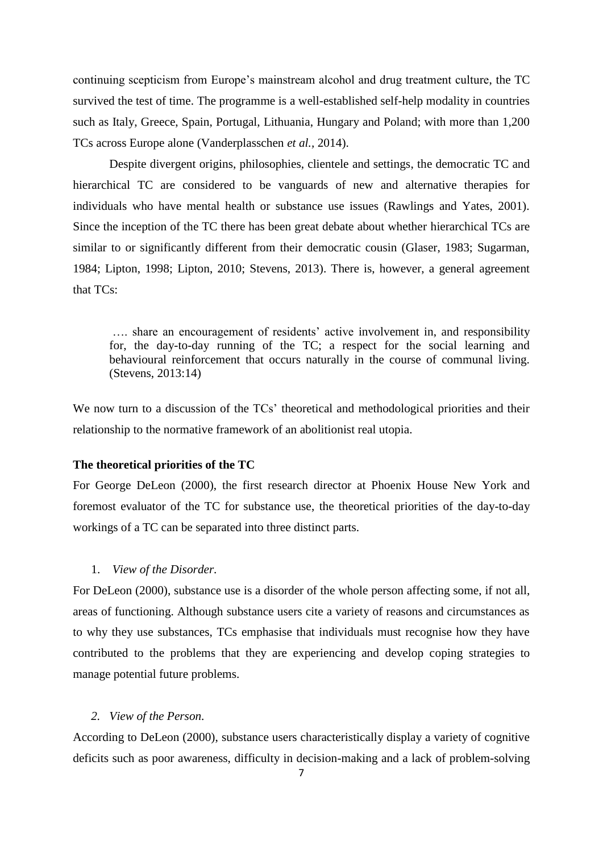continuing scepticism from Europe's mainstream alcohol and drug treatment culture, the TC survived the test of time. The programme is a well-established self-help modality in countries such as Italy, Greece, Spain, Portugal, Lithuania, Hungary and Poland; with more than 1,200 TCs across Europe alone (Vanderplasschen *et al.,* 2014).

Despite divergent origins, philosophies, clientele and settings, the democratic TC and hierarchical TC are considered to be vanguards of new and alternative therapies for individuals who have mental health or substance use issues (Rawlings and Yates, 2001). Since the inception of the TC there has been great debate about whether hierarchical TCs are similar to or significantly different from their democratic cousin (Glaser, 1983; Sugarman, 1984; Lipton, 1998; Lipton, 2010; Stevens, 2013). There is, however, a general agreement that TCs:

…. share an encouragement of residents' active involvement in, and responsibility for, the day-to-day running of the TC; a respect for the social learning and behavioural reinforcement that occurs naturally in the course of communal living. (Stevens, 2013:14)

We now turn to a discussion of the TCs' theoretical and methodological priorities and their relationship to the normative framework of an abolitionist real utopia.

#### **The theoretical priorities of the TC**

For George DeLeon (2000), the first research director at Phoenix House New York and foremost evaluator of the TC for substance use, the theoretical priorities of the day-to-day workings of a TC can be separated into three distinct parts.

## 1. *View of the Disorder.*

For DeLeon (2000), substance use is a disorder of the whole person affecting some, if not all, areas of functioning. Although substance users cite a variety of reasons and circumstances as to why they use substances, TCs emphasise that individuals must recognise how they have contributed to the problems that they are experiencing and develop coping strategies to manage potential future problems.

### *2. View of the Person.*

According to DeLeon (2000), substance users characteristically display a variety of cognitive deficits such as poor awareness, difficulty in decision-making and a lack of problem-solving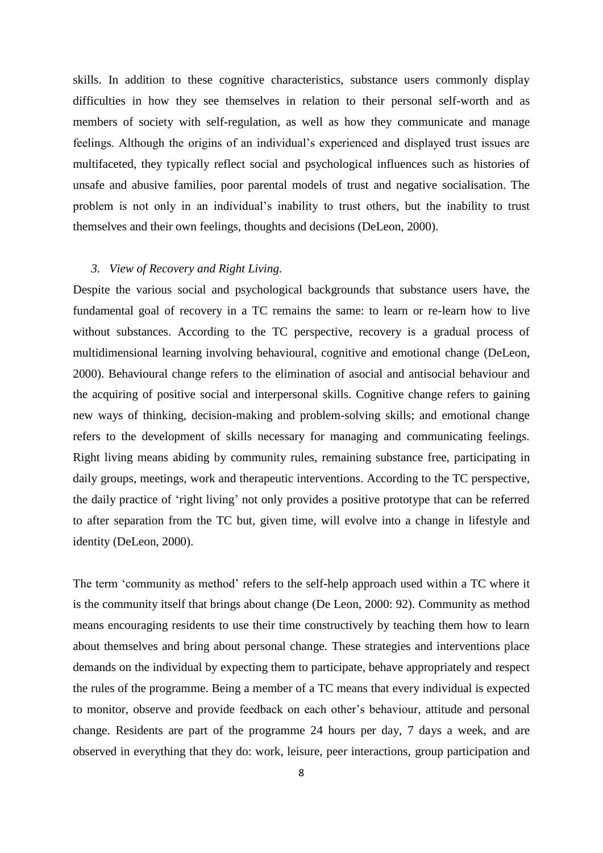skills. In addition to these cognitive characteristics, substance users commonly display difficulties in how they see themselves in relation to their personal self-worth and as members of society with self-regulation, as well as how they communicate and manage feelings. Although the origins of an individual's experienced and displayed trust issues are multifaceted, they typically reflect social and psychological influences such as histories of unsafe and abusive families, poor parental models of trust and negative socialisation. The problem is not only in an individual's inability to trust others, but the inability to trust themselves and their own feelings, thoughts and decisions (DeLeon, 2000).

## *3. View of Recovery and Right Living.*

Despite the various social and psychological backgrounds that substance users have, the fundamental goal of recovery in a TC remains the same: to learn or re-learn how to live without substances. According to the TC perspective, recovery is a gradual process of multidimensional learning involving behavioural, cognitive and emotional change (DeLeon, 2000). Behavioural change refers to the elimination of asocial and antisocial behaviour and the acquiring of positive social and interpersonal skills. Cognitive change refers to gaining new ways of thinking, decision-making and problem-solving skills; and emotional change refers to the development of skills necessary for managing and communicating feelings. Right living means abiding by community rules, remaining substance free, participating in daily groups, meetings, work and therapeutic interventions. According to the TC perspective, the daily practice of 'right living' not only provides a positive prototype that can be referred to after separation from the TC but, given time, will evolve into a change in lifestyle and identity (DeLeon, 2000).

The term 'community as method' refers to the self-help approach used within a TC where it is the community itself that brings about change (De Leon, 2000: 92). Community as method means encouraging residents to use their time constructively by teaching them how to learn about themselves and bring about personal change. These strategies and interventions place demands on the individual by expecting them to participate, behave appropriately and respect the rules of the programme. Being a member of a TC means that every individual is expected to monitor, observe and provide feedback on each other's behaviour, attitude and personal change. Residents are part of the programme 24 hours per day, 7 days a week, and are observed in everything that they do: work, leisure, peer interactions, group participation and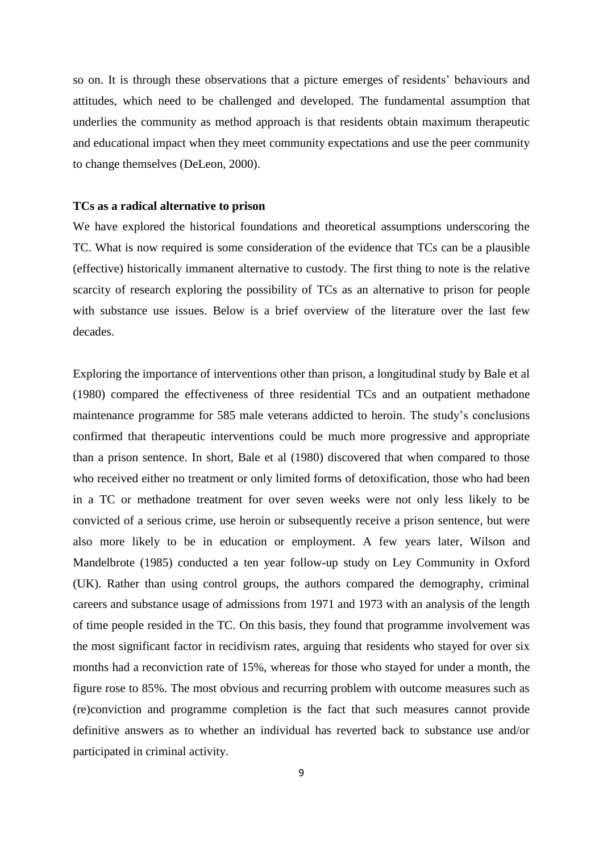so on. It is through these observations that a picture emerges of residents' behaviours and attitudes, which need to be challenged and developed. The fundamental assumption that underlies the community as method approach is that residents obtain maximum therapeutic and educational impact when they meet community expectations and use the peer community to change themselves (DeLeon, 2000).

#### **TCs as a radical alternative to prison**

We have explored the historical foundations and theoretical assumptions underscoring the TC. What is now required is some consideration of the evidence that TCs can be a plausible (effective) historically immanent alternative to custody. The first thing to note is the relative scarcity of research exploring the possibility of TCs as an alternative to prison for people with substance use issues. Below is a brief overview of the literature over the last few decades.

Exploring the importance of interventions other than prison, a longitudinal study by Bale et al (1980) compared the effectiveness of three residential TCs and an outpatient methadone maintenance programme for 585 male veterans addicted to heroin. The study's conclusions confirmed that therapeutic interventions could be much more progressive and appropriate than a prison sentence. In short, Bale et al (1980) discovered that when compared to those who received either no treatment or only limited forms of detoxification, those who had been in a TC or methadone treatment for over seven weeks were not only less likely to be convicted of a serious crime, use heroin or subsequently receive a prison sentence, but were also more likely to be in education or employment. A few years later, Wilson and Mandelbrote (1985) conducted a ten year follow-up study on Ley Community in Oxford (UK). Rather than using control groups, the authors compared the demography, criminal careers and substance usage of admissions from 1971 and 1973 with an analysis of the length of time people resided in the TC. On this basis, they found that programme involvement was the most significant factor in recidivism rates, arguing that residents who stayed for over six months had a reconviction rate of 15%, whereas for those who stayed for under a month, the figure rose to 85%. The most obvious and recurring problem with outcome measures such as (re)conviction and programme completion is the fact that such measures cannot provide definitive answers as to whether an individual has reverted back to substance use and/or participated in criminal activity.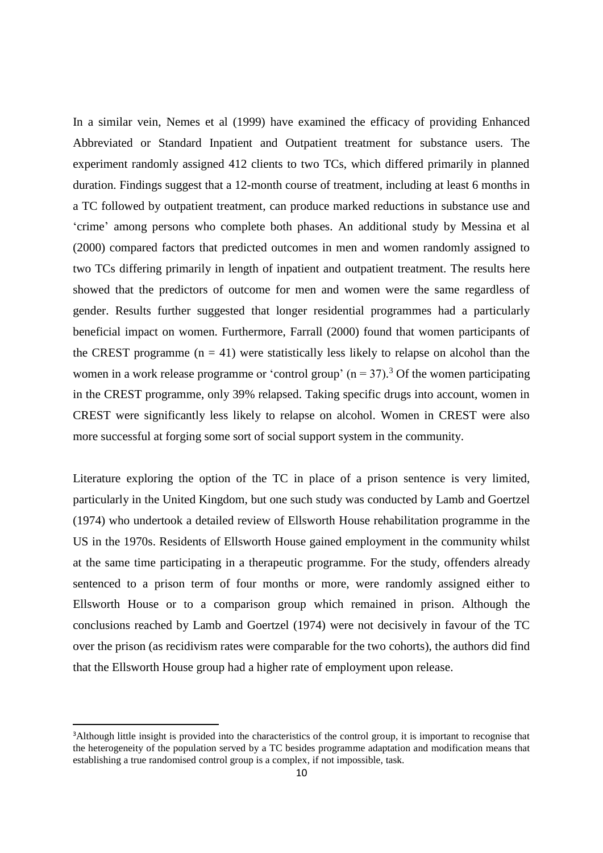In a similar vein, Nemes et al (1999) have examined the efficacy of providing Enhanced Abbreviated or Standard Inpatient and Outpatient treatment for substance users. The experiment randomly assigned 412 clients to two TCs, which differed primarily in planned duration. Findings suggest that a 12-month course of treatment, including at least 6 months in a TC followed by outpatient treatment, can produce marked reductions in substance use and 'crime' among persons who complete both phases. An additional study by Messina et al (2000) compared factors that predicted outcomes in men and women randomly assigned to two TCs differing primarily in length of inpatient and outpatient treatment. The results here showed that the predictors of outcome for men and women were the same regardless of gender. Results further suggested that longer residential programmes had a particularly beneficial impact on women. Furthermore, Farrall (2000) found that women participants of the CREST programme  $(n = 41)$  were statistically less likely to relapse on alcohol than the women in a work release programme or 'control group'  $(n = 37)$ .<sup>3</sup> Of the women participating in the CREST programme, only 39% relapsed. Taking specific drugs into account, women in CREST were significantly less likely to relapse on alcohol. Women in CREST were also more successful at forging some sort of social support system in the community.

Literature exploring the option of the TC in place of a prison sentence is very limited, particularly in the United Kingdom, but one such study was conducted by Lamb and Goertzel (1974) who undertook a detailed review of Ellsworth House rehabilitation programme in the US in the 1970s. Residents of Ellsworth House gained employment in the community whilst at the same time participating in a therapeutic programme. For the study, offenders already sentenced to a prison term of four months or more, were randomly assigned either to Ellsworth House or to a comparison group which remained in prison. Although the conclusions reached by Lamb and Goertzel (1974) were not decisively in favour of the TC over the prison (as recidivism rates were comparable for the two cohorts), the authors did find that the Ellsworth House group had a higher rate of employment upon release.

 $\overline{a}$ 

<sup>&</sup>lt;sup>3</sup>Although little insight is provided into the characteristics of the control group, it is important to recognise that the heterogeneity of the population served by a TC besides programme adaptation and modification means that establishing a true randomised control group is a complex, if not impossible, task.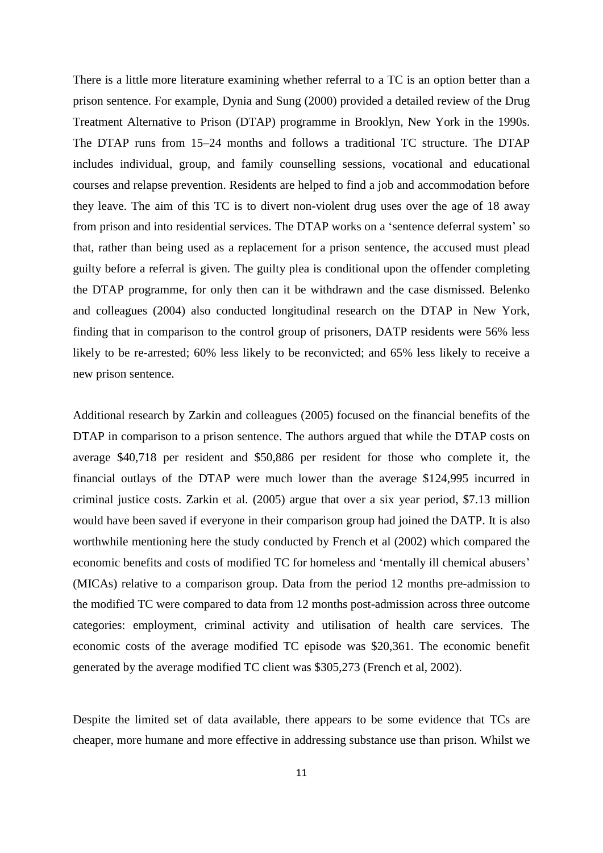There is a little more literature examining whether referral to a TC is an option better than a prison sentence. For example, Dynia and Sung (2000) provided a detailed review of the Drug Treatment Alternative to Prison (DTAP) programme in Brooklyn, New York in the 1990s. The DTAP runs from 15–24 months and follows a traditional TC structure. The DTAP includes individual, group, and family counselling sessions, vocational and educational courses and relapse prevention. Residents are helped to find a job and accommodation before they leave. The aim of this TC is to divert non-violent drug uses over the age of 18 away from prison and into residential services. The DTAP works on a 'sentence deferral system' so that, rather than being used as a replacement for a prison sentence, the accused must plead guilty before a referral is given. The guilty plea is conditional upon the offender completing the DTAP programme, for only then can it be withdrawn and the case dismissed. Belenko and colleagues (2004) also conducted longitudinal research on the DTAP in New York, finding that in comparison to the control group of prisoners, DATP residents were 56% less likely to be re-arrested; 60% less likely to be reconvicted; and 65% less likely to receive a new prison sentence.

Additional research by Zarkin and colleagues (2005) focused on the financial benefits of the DTAP in comparison to a prison sentence. The authors argued that while the DTAP costs on average \$40,718 per resident and \$50,886 per resident for those who complete it, the financial outlays of the DTAP were much lower than the average \$124,995 incurred in criminal justice costs. Zarkin et al. (2005) argue that over a six year period, \$7.13 million would have been saved if everyone in their comparison group had joined the DATP. It is also worthwhile mentioning here the study conducted by French et al (2002) which compared the economic benefits and costs of modified TC for homeless and 'mentally ill chemical abusers' (MICAs) relative to a comparison group. Data from the period 12 months pre-admission to the modified TC were compared to data from 12 months post-admission across three outcome categories: employment, criminal activity and utilisation of health care services. The economic costs of the average modified TC episode was \$20,361. The economic benefit generated by the average modified TC client was \$305,273 (French et al, 2002).

Despite the limited set of data available, there appears to be some evidence that TCs are cheaper, more humane and more effective in addressing substance use than prison. Whilst we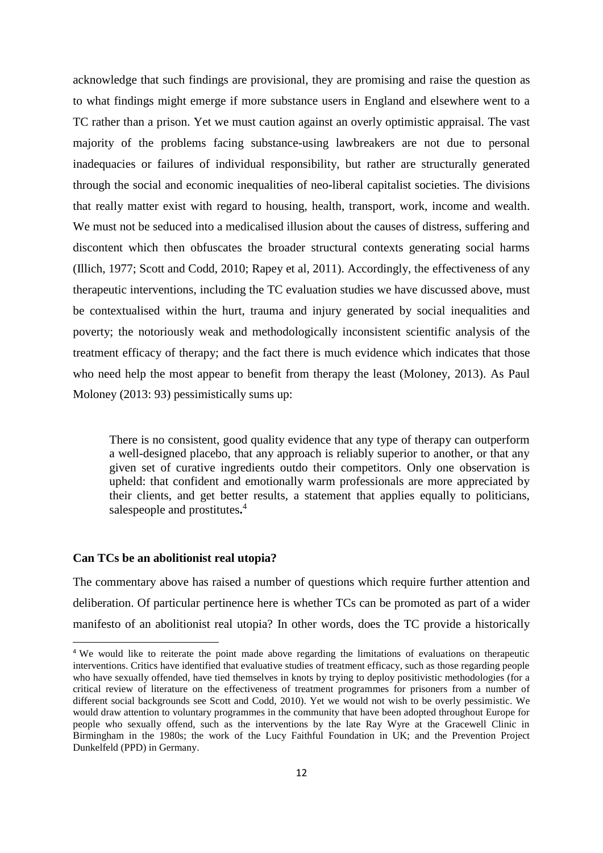acknowledge that such findings are provisional, they are promising and raise the question as to what findings might emerge if more substance users in England and elsewhere went to a TC rather than a prison. Yet we must caution against an overly optimistic appraisal. The vast majority of the problems facing substance-using lawbreakers are not due to personal inadequacies or failures of individual responsibility, but rather are structurally generated through the social and economic inequalities of neo-liberal capitalist societies. The divisions that really matter exist with regard to housing, health, transport, work, income and wealth. We must not be seduced into a medicalised illusion about the causes of distress, suffering and discontent which then obfuscates the broader structural contexts generating social harms (Illich, 1977; Scott and Codd, 2010; Rapey et al, 2011). Accordingly, the effectiveness of any therapeutic interventions, including the TC evaluation studies we have discussed above, must be contextualised within the hurt, trauma and injury generated by social inequalities and poverty; the notoriously weak and methodologically inconsistent scientific analysis of the treatment efficacy of therapy; and the fact there is much evidence which indicates that those who need help the most appear to benefit from therapy the least (Moloney, 2013). As Paul Moloney (2013: 93) pessimistically sums up:

There is no consistent, good quality evidence that any type of therapy can outperform a well-designed placebo, that any approach is reliably superior to another, or that any given set of curative ingredients outdo their competitors. Only one observation is upheld: that confident and emotionally warm professionals are more appreciated by their clients, and get better results, a statement that applies equally to politicians, salespeople and prostitutes**.** 4

#### **Can TCs be an abolitionist real utopia?**

**.** 

The commentary above has raised a number of questions which require further attention and deliberation. Of particular pertinence here is whether TCs can be promoted as part of a wider manifesto of an abolitionist real utopia? In other words, does the TC provide a historically

<sup>4</sup> We would like to reiterate the point made above regarding the limitations of evaluations on therapeutic interventions. Critics have identified that evaluative studies of treatment efficacy, such as those regarding people who have sexually offended, have tied themselves in knots by trying to deploy positivistic methodologies (for a critical review of literature on the effectiveness of treatment programmes for prisoners from a number of different social backgrounds see Scott and Codd, 2010). Yet we would not wish to be overly pessimistic. We would draw attention to voluntary programmes in the community that have been adopted throughout Europe for people who sexually offend, such as the interventions by the late Ray Wyre at the Gracewell Clinic in Birmingham in the 1980s; the work of the Lucy Faithful Foundation in UK; and the Prevention Project Dunkelfeld (PPD) in Germany.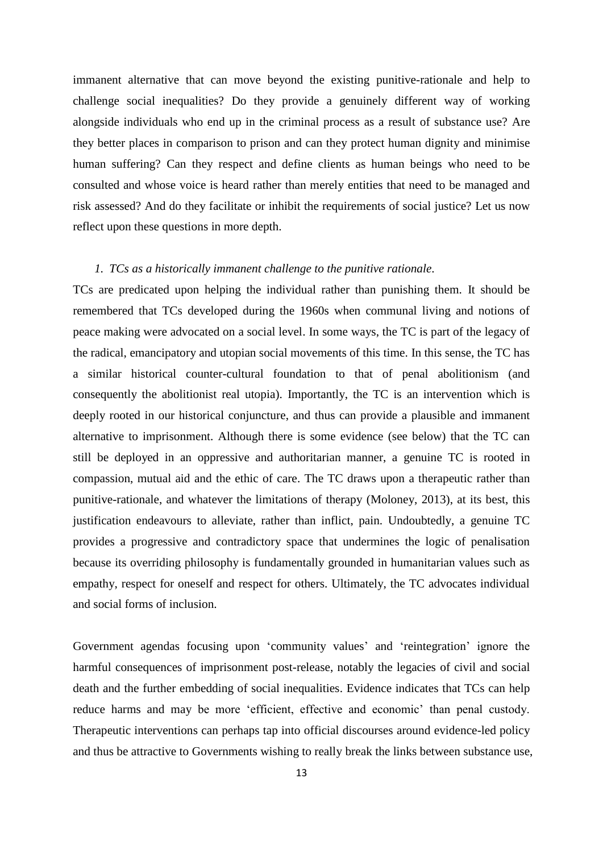immanent alternative that can move beyond the existing punitive-rationale and help to challenge social inequalities? Do they provide a genuinely different way of working alongside individuals who end up in the criminal process as a result of substance use? Are they better places in comparison to prison and can they protect human dignity and minimise human suffering? Can they respect and define clients as human beings who need to be consulted and whose voice is heard rather than merely entities that need to be managed and risk assessed? And do they facilitate or inhibit the requirements of social justice? Let us now reflect upon these questions in more depth.

## *1. TCs as a historically immanent challenge to the punitive rationale.*

TCs are predicated upon helping the individual rather than punishing them. It should be remembered that TCs developed during the 1960s when communal living and notions of peace making were advocated on a social level. In some ways, the TC is part of the legacy of the radical, emancipatory and utopian social movements of this time. In this sense, the TC has a similar historical counter-cultural foundation to that of penal abolitionism (and consequently the abolitionist real utopia). Importantly, the TC is an intervention which is deeply rooted in our historical conjuncture, and thus can provide a plausible and immanent alternative to imprisonment. Although there is some evidence (see below) that the TC can still be deployed in an oppressive and authoritarian manner, a genuine TC is rooted in compassion, mutual aid and the ethic of care. The TC draws upon a therapeutic rather than punitive-rationale, and whatever the limitations of therapy (Moloney, 2013), at its best, this justification endeavours to alleviate, rather than inflict, pain. Undoubtedly, a genuine TC provides a progressive and contradictory space that undermines the logic of penalisation because its overriding philosophy is fundamentally grounded in humanitarian values such as empathy, respect for oneself and respect for others. Ultimately, the TC advocates individual and social forms of inclusion.

Government agendas focusing upon 'community values' and 'reintegration' ignore the harmful consequences of imprisonment post-release, notably the legacies of civil and social death and the further embedding of social inequalities. Evidence indicates that TCs can help reduce harms and may be more 'efficient, effective and economic' than penal custody. Therapeutic interventions can perhaps tap into official discourses around evidence-led policy and thus be attractive to Governments wishing to really break the links between substance use,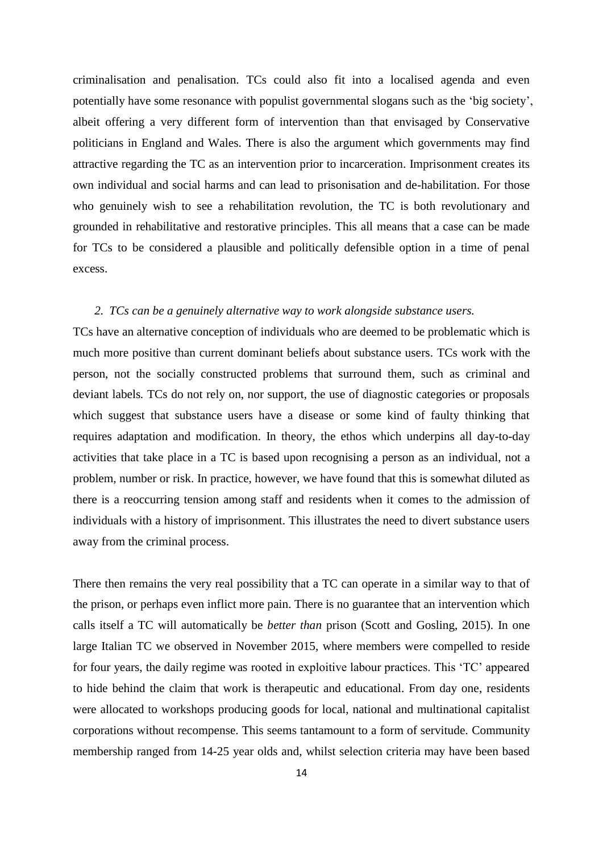criminalisation and penalisation. TCs could also fit into a localised agenda and even potentially have some resonance with populist governmental slogans such as the 'big society', albeit offering a very different form of intervention than that envisaged by Conservative politicians in England and Wales. There is also the argument which governments may find attractive regarding the TC as an intervention prior to incarceration. Imprisonment creates its own individual and social harms and can lead to prisonisation and de-habilitation. For those who genuinely wish to see a rehabilitation revolution, the TC is both revolutionary and grounded in rehabilitative and restorative principles. This all means that a case can be made for TCs to be considered a plausible and politically defensible option in a time of penal excess.

## *2. TCs can be a genuinely alternative way to work alongside substance users.*

TCs have an alternative conception of individuals who are deemed to be problematic which is much more positive than current dominant beliefs about substance users. TCs work with the person, not the socially constructed problems that surround them, such as criminal and deviant labels*.* TCs do not rely on, nor support, the use of diagnostic categories or proposals which suggest that substance users have a disease or some kind of faulty thinking that requires adaptation and modification. In theory, the ethos which underpins all day-to-day activities that take place in a TC is based upon recognising a person as an individual, not a problem, number or risk. In practice, however, we have found that this is somewhat diluted as there is a reoccurring tension among staff and residents when it comes to the admission of individuals with a history of imprisonment. This illustrates the need to divert substance users away from the criminal process.

There then remains the very real possibility that a TC can operate in a similar way to that of the prison, or perhaps even inflict more pain. There is no guarantee that an intervention which calls itself a TC will automatically be *better than* prison (Scott and Gosling, 2015). In one large Italian TC we observed in November 2015, where members were compelled to reside for four years, the daily regime was rooted in exploitive labour practices. This 'TC' appeared to hide behind the claim that work is therapeutic and educational. From day one, residents were allocated to workshops producing goods for local, national and multinational capitalist corporations without recompense. This seems tantamount to a form of servitude. Community membership ranged from 14-25 year olds and, whilst selection criteria may have been based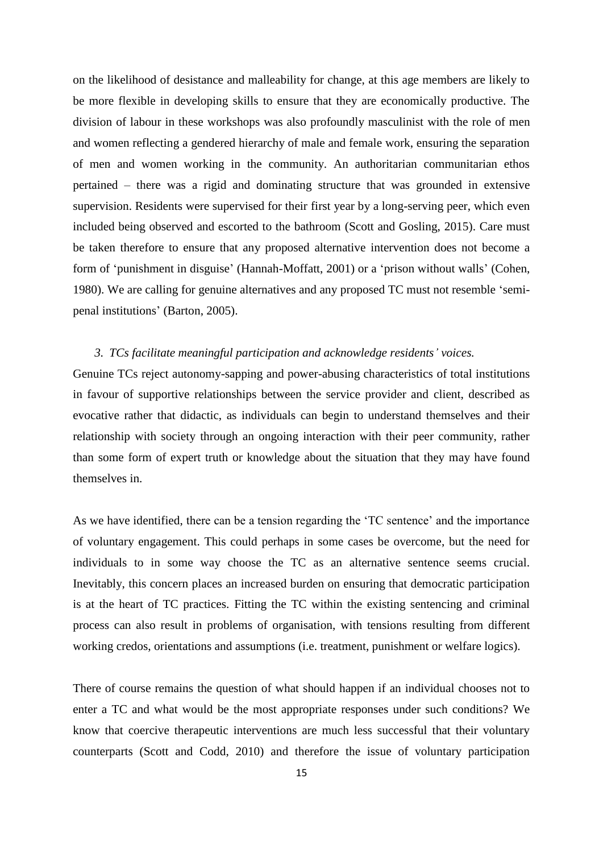on the likelihood of desistance and malleability for change, at this age members are likely to be more flexible in developing skills to ensure that they are economically productive. The division of labour in these workshops was also profoundly masculinist with the role of men and women reflecting a gendered hierarchy of male and female work, ensuring the separation of men and women working in the community. An authoritarian communitarian ethos pertained – there was a rigid and dominating structure that was grounded in extensive supervision. Residents were supervised for their first year by a long-serving peer, which even included being observed and escorted to the bathroom (Scott and Gosling, 2015). Care must be taken therefore to ensure that any proposed alternative intervention does not become a form of 'punishment in disguise' (Hannah-Moffatt, 2001) or a 'prison without walls' (Cohen, 1980). We are calling for genuine alternatives and any proposed TC must not resemble 'semipenal institutions' (Barton, 2005).

### *3. TCs facilitate meaningful participation and acknowledge residents' voices.*

Genuine TCs reject autonomy-sapping and power-abusing characteristics of total institutions in favour of supportive relationships between the service provider and client, described as evocative rather that didactic, as individuals can begin to understand themselves and their relationship with society through an ongoing interaction with their peer community, rather than some form of expert truth or knowledge about the situation that they may have found themselves in.

As we have identified, there can be a tension regarding the 'TC sentence' and the importance of voluntary engagement. This could perhaps in some cases be overcome, but the need for individuals to in some way choose the TC as an alternative sentence seems crucial. Inevitably, this concern places an increased burden on ensuring that democratic participation is at the heart of TC practices. Fitting the TC within the existing sentencing and criminal process can also result in problems of organisation, with tensions resulting from different working credos, orientations and assumptions (i.e. treatment, punishment or welfare logics).

There of course remains the question of what should happen if an individual chooses not to enter a TC and what would be the most appropriate responses under such conditions? We know that coercive therapeutic interventions are much less successful that their voluntary counterparts (Scott and Codd, 2010) and therefore the issue of voluntary participation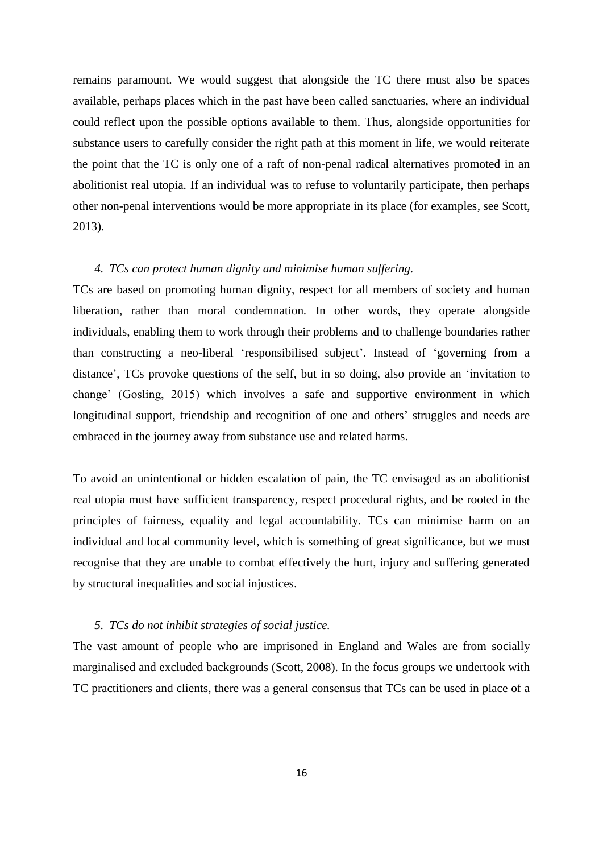remains paramount. We would suggest that alongside the TC there must also be spaces available, perhaps places which in the past have been called sanctuaries, where an individual could reflect upon the possible options available to them. Thus, alongside opportunities for substance users to carefully consider the right path at this moment in life, we would reiterate the point that the TC is only one of a raft of non-penal radical alternatives promoted in an abolitionist real utopia. If an individual was to refuse to voluntarily participate, then perhaps other non-penal interventions would be more appropriate in its place (for examples, see Scott, 2013).

## *4. TCs can protect human dignity and minimise human suffering.*

TCs are based on promoting human dignity, respect for all members of society and human liberation, rather than moral condemnation*.* In other words, they operate alongside individuals, enabling them to work through their problems and to challenge boundaries rather than constructing a neo-liberal 'responsibilised subject'. Instead of 'governing from a distance', TCs provoke questions of the self, but in so doing, also provide an 'invitation to change' (Gosling, 2015) which involves a safe and supportive environment in which longitudinal support, friendship and recognition of one and others' struggles and needs are embraced in the journey away from substance use and related harms.

To avoid an unintentional or hidden escalation of pain, the TC envisaged as an abolitionist real utopia must have sufficient transparency, respect procedural rights, and be rooted in the principles of fairness, equality and legal accountability. TCs can minimise harm on an individual and local community level, which is something of great significance, but we must recognise that they are unable to combat effectively the hurt, injury and suffering generated by structural inequalities and social injustices.

### *5. TCs do not inhibit strategies of social justice.*

The vast amount of people who are imprisoned in England and Wales are from socially marginalised and excluded backgrounds (Scott, 2008). In the focus groups we undertook with TC practitioners and clients, there was a general consensus that TCs can be used in place of a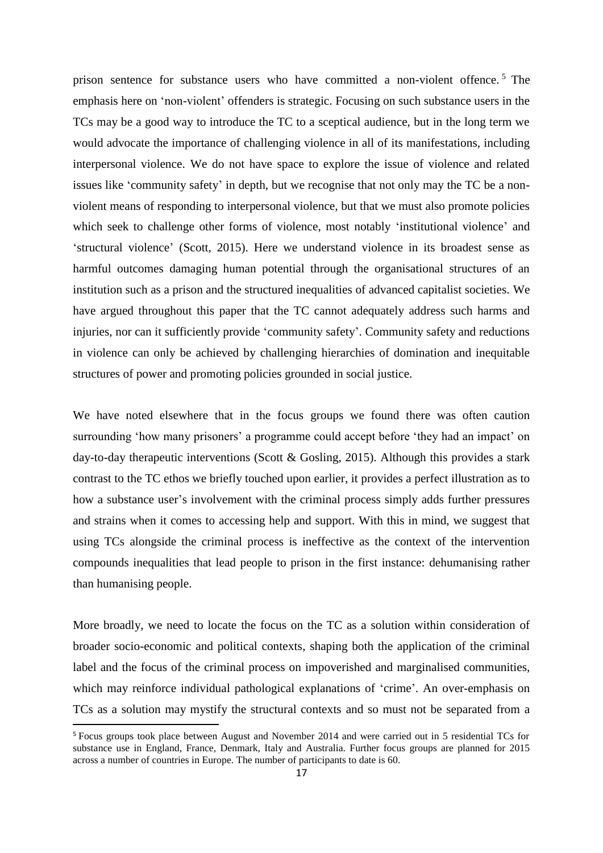prison sentence for substance users who have committed a non-violent offence. <sup>5</sup> The emphasis here on 'non-violent' offenders is strategic. Focusing on such substance users in the TCs may be a good way to introduce the TC to a sceptical audience, but in the long term we would advocate the importance of challenging violence in all of its manifestations, including interpersonal violence. We do not have space to explore the issue of violence and related issues like 'community safety' in depth, but we recognise that not only may the TC be a nonviolent means of responding to interpersonal violence, but that we must also promote policies which seek to challenge other forms of violence, most notably 'institutional violence' and 'structural violence' (Scott, 2015). Here we understand violence in its broadest sense as harmful outcomes damaging human potential through the organisational structures of an institution such as a prison and the structured inequalities of advanced capitalist societies. We have argued throughout this paper that the TC cannot adequately address such harms and injuries, nor can it sufficiently provide 'community safety'. Community safety and reductions in violence can only be achieved by challenging hierarchies of domination and inequitable structures of power and promoting policies grounded in social justice.

We have noted elsewhere that in the focus groups we found there was often caution surrounding 'how many prisoners' a programme could accept before 'they had an impact' on day-to-day therapeutic interventions (Scott & Gosling, 2015). Although this provides a stark contrast to the TC ethos we briefly touched upon earlier, it provides a perfect illustration as to how a substance user's involvement with the criminal process simply adds further pressures and strains when it comes to accessing help and support. With this in mind, we suggest that using TCs alongside the criminal process is ineffective as the context of the intervention compounds inequalities that lead people to prison in the first instance: dehumanising rather than humanising people.

More broadly, we need to locate the focus on the TC as a solution within consideration of broader socio-economic and political contexts, shaping both the application of the criminal label and the focus of the criminal process on impoverished and marginalised communities, which may reinforce individual pathological explanations of 'crime'. An over-emphasis on TCs as a solution may mystify the structural contexts and so must not be separated from a

 $\overline{a}$ 

<sup>5</sup> Focus groups took place between August and November 2014 and were carried out in 5 residential TCs for substance use in England, France, Denmark, Italy and Australia. Further focus groups are planned for 2015 across a number of countries in Europe. The number of participants to date is 60.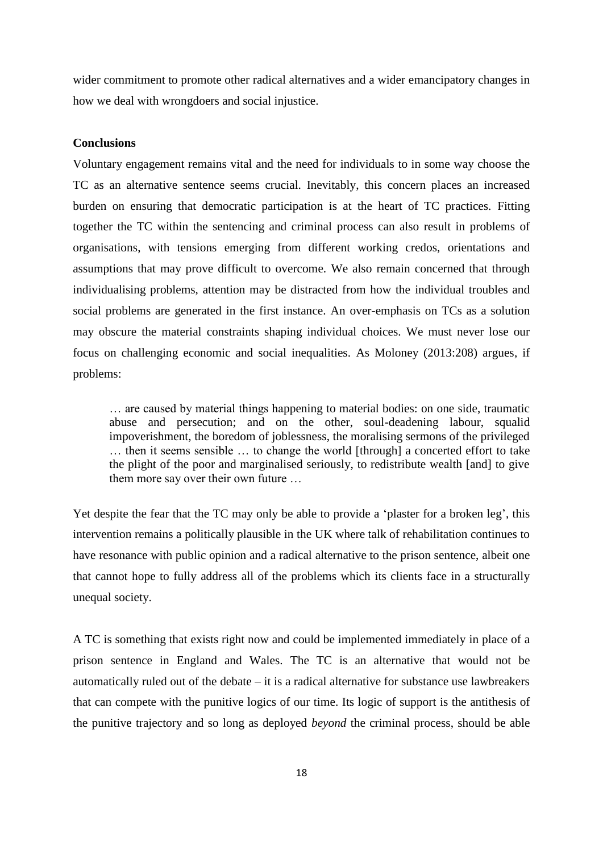wider commitment to promote other radical alternatives and a wider emancipatory changes in how we deal with wrongdoers and social injustice.

## **Conclusions**

Voluntary engagement remains vital and the need for individuals to in some way choose the TC as an alternative sentence seems crucial. Inevitably, this concern places an increased burden on ensuring that democratic participation is at the heart of TC practices. Fitting together the TC within the sentencing and criminal process can also result in problems of organisations, with tensions emerging from different working credos, orientations and assumptions that may prove difficult to overcome. We also remain concerned that through individualising problems, attention may be distracted from how the individual troubles and social problems are generated in the first instance. An over-emphasis on TCs as a solution may obscure the material constraints shaping individual choices. We must never lose our focus on challenging economic and social inequalities. As Moloney (2013:208) argues, if problems:

… are caused by material things happening to material bodies: on one side, traumatic abuse and persecution; and on the other, soul-deadening labour, squalid impoverishment, the boredom of joblessness, the moralising sermons of the privileged … then it seems sensible … to change the world [through] a concerted effort to take the plight of the poor and marginalised seriously, to redistribute wealth [and] to give them more say over their own future …

Yet despite the fear that the TC may only be able to provide a 'plaster for a broken leg', this intervention remains a politically plausible in the UK where talk of rehabilitation continues to have resonance with public opinion and a radical alternative to the prison sentence, albeit one that cannot hope to fully address all of the problems which its clients face in a structurally unequal society.

A TC is something that exists right now and could be implemented immediately in place of a prison sentence in England and Wales. The TC is an alternative that would not be automatically ruled out of the debate – it is a radical alternative for substance use lawbreakers that can compete with the punitive logics of our time. Its logic of support is the antithesis of the punitive trajectory and so long as deployed *beyond* the criminal process, should be able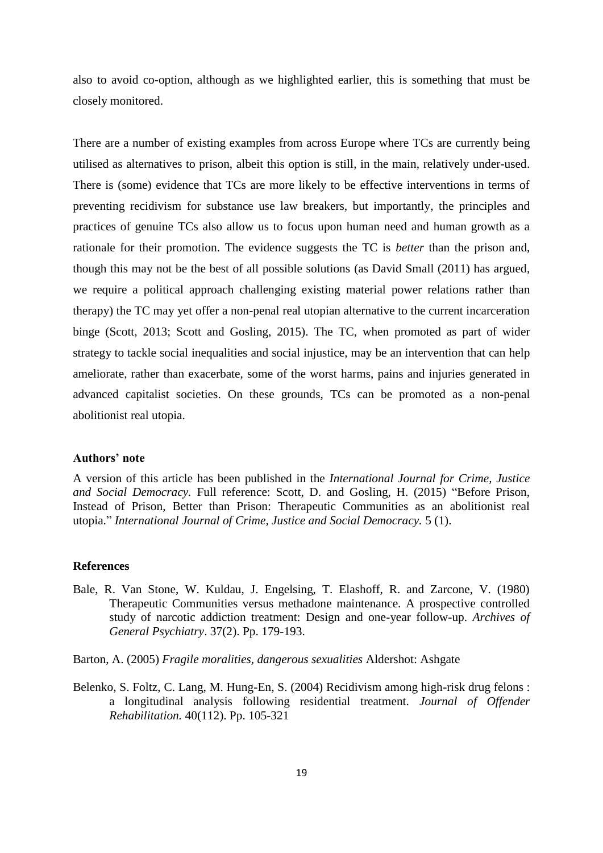also to avoid co-option, although as we highlighted earlier, this is something that must be closely monitored.

There are a number of existing examples from across Europe where TCs are currently being utilised as alternatives to prison, albeit this option is still, in the main, relatively under-used. There is (some) evidence that TCs are more likely to be effective interventions in terms of preventing recidivism for substance use law breakers, but importantly, the principles and practices of genuine TCs also allow us to focus upon human need and human growth as a rationale for their promotion. The evidence suggests the TC is *better* than the prison and, though this may not be the best of all possible solutions (as David Small (2011) has argued, we require a political approach challenging existing material power relations rather than therapy) the TC may yet offer a non-penal real utopian alternative to the current incarceration binge (Scott, 2013; Scott and Gosling, 2015). The TC, when promoted as part of wider strategy to tackle social inequalities and social injustice, may be an intervention that can help ameliorate, rather than exacerbate, some of the worst harms, pains and injuries generated in advanced capitalist societies. On these grounds, TCs can be promoted as a non-penal abolitionist real utopia.

#### **Authors' note**

A version of this article has been published in the *International Journal for Crime, Justice and Social Democracy.* Full reference: Scott, D. and Gosling, H. (2015) "Before Prison, Instead of Prison, Better than Prison: Therapeutic Communities as an abolitionist real utopia." *International Journal of Crime, Justice and Social Democracy.* 5 (1).

#### **References**

Bale, R. Van Stone, W. Kuldau, J. Engelsing, T. Elashoff, R. and Zarcone, V. (1980) Therapeutic Communities versus methadone maintenance. A prospective controlled study of narcotic addiction treatment: Design and one-year follow-up. *Archives of General Psychiatry*. 37(2). Pp. 179-193.

Barton, A. (2005) *Fragile moralities, dangerous sexualities* Aldershot: Ashgate

Belenko, S. Foltz, C. Lang, M. Hung-En, S. (2004) Recidivism among high-risk drug felons : a longitudinal analysis following residential treatment. *Journal of Offender Rehabilitation.* 40(112). Pp. 105-321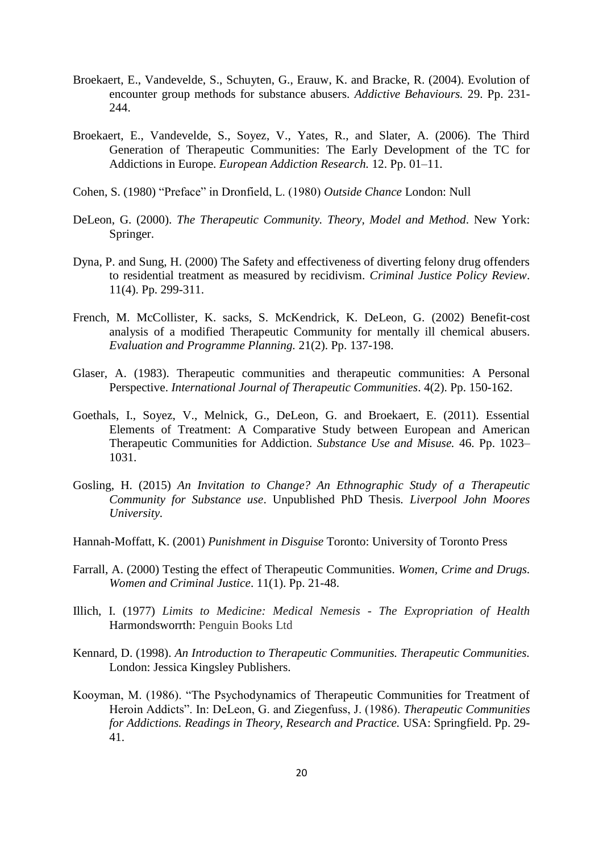- Broekaert, E., Vandevelde, S., Schuyten, G., Erauw, K. and Bracke, R. (2004). Evolution of encounter group methods for substance abusers. *Addictive Behaviours.* 29. Pp. 231- 244.
- Broekaert, E., Vandevelde, S., Soyez, V., Yates, R., and Slater, A. (2006). The Third Generation of Therapeutic Communities: The Early Development of the TC for Addictions in Europe. *European Addiction Research.* 12. Pp. 01–11.
- Cohen, S. (1980) "Preface" in Dronfield, L. (1980) *Outside Chance* London: Null
- DeLeon, G. (2000). *The Therapeutic Community. Theory, Model and Method*. New York: Springer.
- Dyna, P. and Sung, H. (2000) The Safety and effectiveness of diverting felony drug offenders to residential treatment as measured by recidivism. *Criminal Justice Policy Review*. 11(4). Pp. 299-311.
- French, M. McCollister, K. sacks, S. McKendrick, K. DeLeon, G. (2002) Benefit-cost analysis of a modified Therapeutic Community for mentally ill chemical abusers. *Evaluation and Programme Planning.* 21(2). Pp. 137-198.
- Glaser, A. (1983). Therapeutic communities and therapeutic communities: A Personal Perspective. *International Journal of Therapeutic Communities*. 4(2). Pp. 150-162.
- Goethals, I., Soyez, V., Melnick, G., DeLeon, G. and Broekaert, E. (2011). Essential Elements of Treatment: A Comparative Study between European and American Therapeutic Communities for Addiction. *Substance Use and Misuse.* 46. Pp. 1023– 1031.
- Gosling, H. (2015) *An Invitation to Change? An Ethnographic Study of a Therapeutic Community for Substance use*. Unpublished PhD Thesis*. Liverpool John Moores University.*
- Hannah-Moffatt, K. (2001) *Punishment in Disguise* Toronto: University of Toronto Press
- Farrall, A. (2000) Testing the effect of Therapeutic Communities. *Women, Crime and Drugs. Women and Criminal Justice*. 11(1). Pp. 21-48.
- Illich, I. (1977) *Limits to Medicine: Medical Nemesis - The Expropriation of Health* Harmondsworrth: Penguin Books Ltd
- Kennard, D. (1998). *An Introduction to Therapeutic Communities. Therapeutic Communities.* London: Jessica Kingsley Publishers.
- Kooyman, M. (1986). "The Psychodynamics of Therapeutic Communities for Treatment of Heroin Addicts". In: DeLeon, G. and Ziegenfuss, J. (1986). *Therapeutic Communities for Addictions. Readings in Theory, Research and Practice.* USA: Springfield. Pp. 29- 41.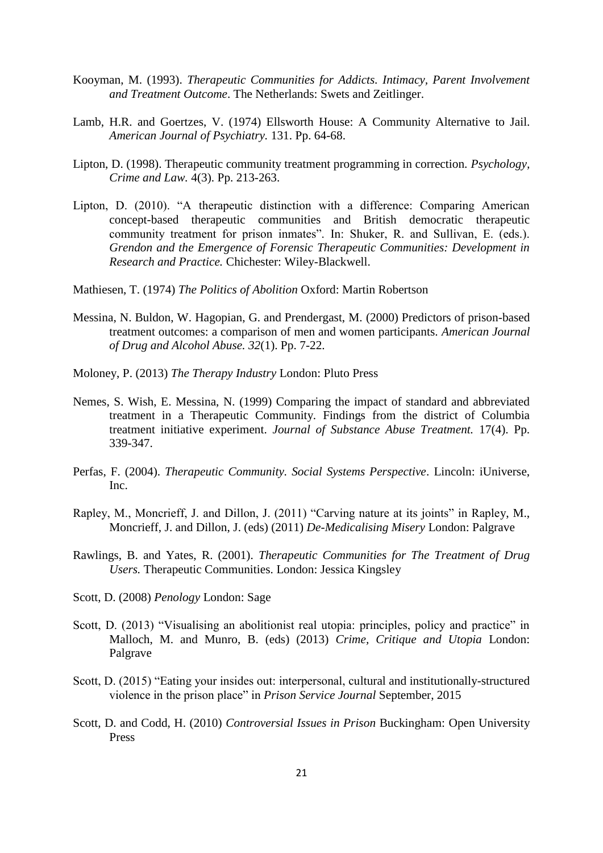- Kooyman, M. (1993). *Therapeutic Communities for Addicts. Intimacy, Parent Involvement and Treatment Outcome*. The Netherlands: Swets and Zeitlinger.
- Lamb, H.R. and Goertzes, V. (1974) Ellsworth House: A Community Alternative to Jail. *American Journal of Psychiatry.* 131. Pp. 64-68.
- Lipton, D. (1998). Therapeutic community treatment programming in correction. *Psychology, Crime and Law.* 4(3). Pp. 213-263.
- Lipton, D. (2010). "A therapeutic distinction with a difference: Comparing American concept-based therapeutic communities and British democratic therapeutic community treatment for prison inmates". In: Shuker, R. and Sullivan, E. (eds.). *Grendon and the Emergence of Forensic Therapeutic Communities: Development in Research and Practice.* Chichester: Wiley-Blackwell.
- Mathiesen, T. (1974) *The Politics of Abolition* Oxford: Martin Robertson
- Messina, N. Buldon, W. Hagopian, G. and Prendergast, M. (2000) Predictors of prison-based treatment outcomes: a comparison of men and women participants. *American Journal of Drug and Alcohol Abuse. 32*(1). Pp. 7-22.
- Moloney, P. (2013) *The Therapy Industry* London: Pluto Press
- Nemes, S. Wish, E. Messina, N. (1999) Comparing the impact of standard and abbreviated treatment in a Therapeutic Community. Findings from the district of Columbia treatment initiative experiment. *Journal of Substance Abuse Treatment.* 17(4). Pp. 339-347.
- Perfas, F. (2004). *Therapeutic Community. Social Systems Perspective*. Lincoln: iUniverse, Inc.
- Rapley, M., Moncrieff, J. and Dillon, J. (2011) "Carving nature at its joints" in Rapley, M., Moncrieff, J. and Dillon, J. (eds) (2011) *De-Medicalising Misery* London: Palgrave
- Rawlings, B. and Yates, R. (2001). *Therapeutic Communities for The Treatment of Drug Users.* Therapeutic Communities. London: Jessica Kingsley
- Scott, D. (2008) *Penology* London: Sage
- Scott, D. (2013) "Visualising an abolitionist real utopia: principles, policy and practice" in Malloch, M. and Munro, B. (eds) (2013) *Crime, Critique and Utopia* London: Palgrave
- Scott, D. (2015) "Eating your insides out: interpersonal, cultural and institutionally-structured violence in the prison place" in *Prison Service Journal* September, 2015
- Scott, D. and Codd, H. (2010) *Controversial Issues in Prison* Buckingham: Open University Press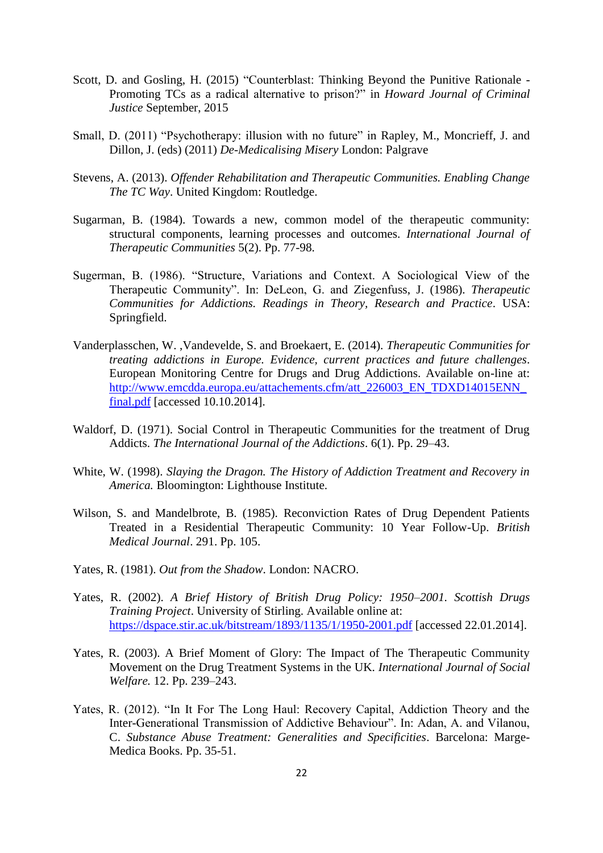- Scott, D. and Gosling, H. (2015) "Counterblast: Thinking Beyond the Punitive Rationale Promoting TCs as a radical alternative to prison?" in *Howard Journal of Criminal Justice* September, 2015
- Small, D. (2011) "Psychotherapy: illusion with no future" in Rapley, M., Moncrieff, J. and Dillon, J. (eds) (2011) *De-Medicalising Misery* London: Palgrave
- Stevens, A. (2013). *Offender Rehabilitation and Therapeutic Communities. Enabling Change The TC Way*. United Kingdom: Routledge.
- Sugarman, B. (1984). Towards a new, common model of the therapeutic community: structural components, learning processes and outcomes. *International Journal of Therapeutic Communities* 5(2). Pp. 77-98.
- Sugerman, B. (1986). "Structure, Variations and Context. A Sociological View of the Therapeutic Community". In: DeLeon, G. and Ziegenfuss, J. (1986). *Therapeutic Communities for Addictions. Readings in Theory, Research and Practice*. USA: Springfield.
- Vanderplasschen, W. ,Vandevelde, S. and Broekaert, E. (2014). *Therapeutic Communities for treating addictions in Europe. Evidence, current practices and future challenges*. European Monitoring Centre for Drugs and Drug Addictions. Available on-line at: [http://www.emcdda.europa.eu/attachements.cfm/att\\_226003\\_EN\\_TDXD14015ENN\\_](http://www.emcdda.europa.eu/attachements.cfm/att_226003_EN_TDXD14015ENN_final.pdf) [final.pdf](http://www.emcdda.europa.eu/attachements.cfm/att_226003_EN_TDXD14015ENN_final.pdf) [accessed 10.10.2014].
- Waldorf, D. (1971). Social Control in Therapeutic Communities for the treatment of Drug Addicts. *The International Journal of the Addictions*. 6(1). Pp. 29–43.
- White, W. (1998). *Slaying the Dragon. The History of Addiction Treatment and Recovery in America.* Bloomington: Lighthouse Institute.
- Wilson, S. and Mandelbrote, B. (1985). Reconviction Rates of Drug Dependent Patients Treated in a Residential Therapeutic Community: 10 Year Follow-Up. *British Medical Journal*. 291. Pp. 105.
- Yates, R. (1981). *Out from the Shadow*. London: NACRO.
- Yates, R. (2002). *A Brief History of British Drug Policy: 1950–2001. Scottish Drugs Training Project*. University of Stirling. Available online at: <https://dspace.stir.ac.uk/bitstream/1893/1135/1/1950-2001.pdf> [accessed 22.01.2014].
- Yates, R. (2003). A Brief Moment of Glory: The Impact of The Therapeutic Community Movement on the Drug Treatment Systems in the UK. *International Journal of Social Welfare.* 12. Pp. 239–243.
- Yates, R. (2012). "In It For The Long Haul: Recovery Capital, Addiction Theory and the Inter-Generational Transmission of Addictive Behaviour". In: Adan, A. and Vilanou, C. *Substance Abuse Treatment: Generalities and Specificities*. Barcelona: Marge-Medica Books. Pp. 35-51.